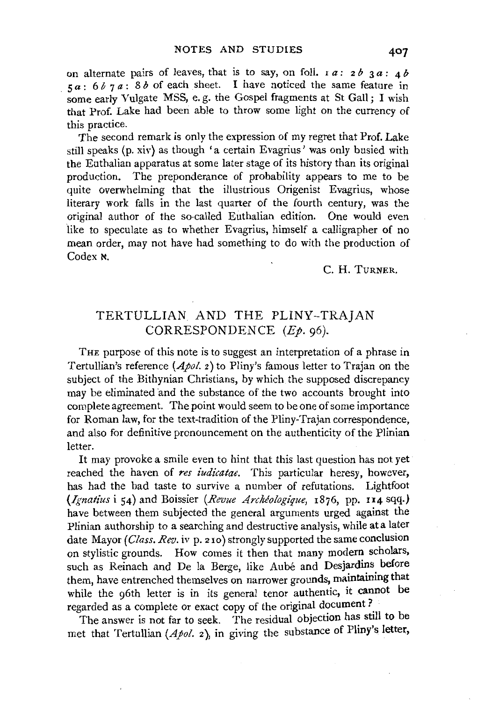on alternate pairs of leaves, that is to say, on foll.  $a : 2b \cdot 3a : 4b$  $5a: 6b7a: 8b$  of each sheet. I have noticed the same feature in some early Vulgate MSS, e.g. the Gospel fragments at St Gall; I wish that Prof. Lake had been able to throw some light on the currency of this practice.

The second remark is only the expression of my regret that Prof. Lake still speaks (p. xiv) as though 'a certain Evagrius' was only busied with the Euthalian apparatus at some later stage of its history than its original production. The preponderance of probability appears to me to be quite overwhelming that the illustrious Origenist Evagrius, whose literary work falls in the last quarter of the fourth century, was the original author of the so-called Euthalian edition. One would even like to speculate as to whether Evagrius, himself a calligrapher of no mean order, may not have had something to do with the production of Codex  $\kappa$ .

## C. H. TuRNER.

## TERTULLIAN AND THE PLINY-TRAJAN CORRESPONDENCE (Ep. 96).

THE purpose of this note is to suggest an interpretation of a phrase in Tertullian's reference *(Apol.* 2) to Pliny's famous letter to Trajan on the subject of the Bithynian Christians, by which the supposed discrepancy may be eliminated and the substance of the two accounts brought into complete agreement. The point would seem to be one of some importance for Roman law, for the text-tradition of the Pliny-Trajan correspondence, and also for definitive pronouncement on the authenticity of the Plinian letter.

It may provoke a smile even to hint that this last question has not yet reached the haven of *res iudicatae.* This particular heresy, however, has had the bad taste to survive a number of refutations. Lightfoot *(Ignatius* i 54) and Boissier *(Revue Archiologique,* 1876, pp. 114 sqq.) have between them subjected the general arguments urged against the Plinian authorship to a searching and destructive analysis, while at a later date Mayor *(Class. Rev.* iv p. 2 1o) strongly supported the same conclusion on stylistic grounds. How comes it then that many modern scholars, such as Reinach and De la Berge, like Aube and Desjardins before them, have entrenched themselves on narrower grounds, maintaining that while the g6th letter is in its general tenor authentic, it cannot be regarded as a complete or exact copy of the original document?.

The answer is not far to seek. The residual objection has still to be met that Tertullian (Apol. 2), in giving the substance of Pliny's letter,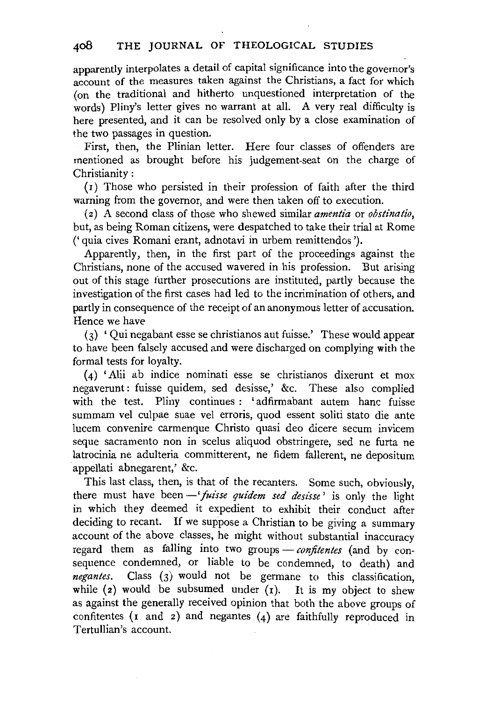apparently interpolates a detail of capital significance into the governor's account of the measures taken against the Christians, a fact for which (on the traditional and hitherto unquestioned interpretation of the words) Pliny's letter gives no warrant at all. A very real difficulty is here presented, and it can be resolved only by a close examination of the two passages in question.

First, then, the Plinian letter. Here four classes of offenders are mentioned as brought before his judgement-seat on the charge of Christianity :

(I) Those who persisted in their profession of faith after the third warning from the governor, and were then taken off to execution.

( 2) A second class of those who shewed similar *amentia* or *obstinatio,*  but, as being Roman citizens, were despatched to take their trial at Rome ('quia cives Romani erant, adnotavi in urbem remittendos ').

Apparently, then, in the first part of the proceedings against the Christians, none of the accused wavered in his profession. But arising out of this stage further prosecutions are instituted, partly because the investigation of the first cases had led to the incrimination of others, and partly in consequence of the receipt of an anonymous letter of accusation. Hence we have

(3) ' Qui negabant esse se christianos aut fuisse.' These would appear to have been falsely accused and were discharged on complying with the formal tests for loyalty.

(4) 'Alii ab indice nominati esse se christianos dixerunt et mox negaverunt : fuisse quidem, sed desisse,' &c. These also complied with the test. Pliny continues : 'adfirmabant autem hanc fuisse summam vel culpae suae vel erroris, quod essent soliti stato die ante lucem convenire carmenque Christo quasi deo dicere secum invicem seque sacramento non in scelus aliquod obstringere, sed ne furta ne latrocinia ne adulteria committerent, ne fidem fallerent, ne depositum appellati abnegarent,' &c.

This last class, then, is that of the recanters. Some such, obviously, there must have been  $-$ 'fuisse quidem sed desisse' is only the light in which they deemed it expedient to exhibit their conduct after deciding to recant. If we suppose a Christian to be giving a summary account of the above classes, he might without substantial inaccuracy regard them as falling into two groups - confitentes (and by consequence condemned, or liable to be condemned, to death) and *negantes.* Class (3) would not be germane to this classification, while (2) would be subsumed under  $(r)$ . It is my object to shew as against the generally received opinion that both the above groups of confitentes ( $x$  and  $z$ ) and negantes ( $4$ ) are faithfully reproduced in Tertullian's account.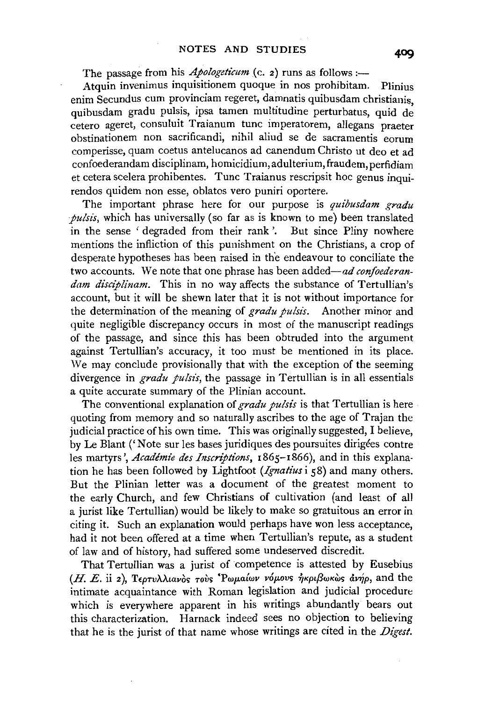The passage from his *Apologeticum* (c. 2) runs as follows :-

Atquin invenimus inquisitionem quoque in nos prohibitam. Plinius enim Secundus cum provinciam regeret, damnatis quibusdam christianis, quibusdam gradu pulsis, ipsa tamen multitudine perturbatus, quid de cetero ageret, consuluit Traianum tunc imperatorem, allegans praeter obstinationem non sacrificandi, nihil aliud se de sacramentis eorum comperisse, quam coetus antelucanos ad canendum Christo ut deo et ad confoederandam disciplinam, homicidium, adulterium, fraudem, perfidiam et cetera scelera prohibentes. Tunc Traianus rescripsit hoc genus inquirendos quidem non esse, oblatos vero puniri oportere.

The important phrase here for our purpose is *quibusdam gradu pulsis*, which has universally (so far as is known to me) been translated in the sense 'degraded from their rank'. But since Pliny nowhere mentions the infliction of this punishment on the Christians, a crop of desperate hypotheses has been raised in the endeavour to conciliate the two accounts. We note that one phrase has been added-ad *confoederan*dam disciplinam. This in no way affects the substance of Tertullian's account, but it will be shewn later that it is not without importance for the determination of the meaning of *gradu pulsts.* Another minor and quite negligible discrepancy occurs in most of the manuscript readings of the passage, and since this has been obtruded into the argument against Tertullian's accuracy, it too must be mentioned in its place. We may conclude provisionally that with the exception of the seeming divergence in *gradu pulsis*, the passage in Tertullian is in all essentials a quite accurate summary of the Plinian account.

The conventional explanation of *gradu pulsis* is that Tertullian is here quoting from memory and so naturally ascribes to the age of Trajan the judicial practice of his own time. This was originally suggested, I believe, by Le Blant ('Note sur les bases juridiques des poursuites dirigees contre les martyrs', *Academie des Inscriptions,* I865-1866), and in this explanation he has been followed by Lightfoot *(Ignatius* i 58) and many others. But the Plinian letter was a document of the greatest moment to the early Church, and few Christians of cultivation (and least of all a jurist like Tertullian) would be likely to make so gratuitous an error in citing it. Such an explanation would perhaps have won less acceptance, had it not been offered at a time when Tertullian's repute, as a student of law and of history, had suffered some undeserved discredit.

That Tertullian was a jurist of competence is attested by Eusebius  $(H, E, \text{ii 2})$ ,  $T_{\text{60Tv}}\lambda\lambda$ *iav*  $\delta$  *rovs 'Pwp.alwv v6p.ovs*  $\eta$ *KpißwKws dvnp*, and the intimate acquaintance with Roman legislation and judicial procedure which is everywhere apparent in his writings abundantly bears out this characterization. Harnack indeed sees no objection to believing that he is the jurist of that name whose writings are cited in the *Digest.*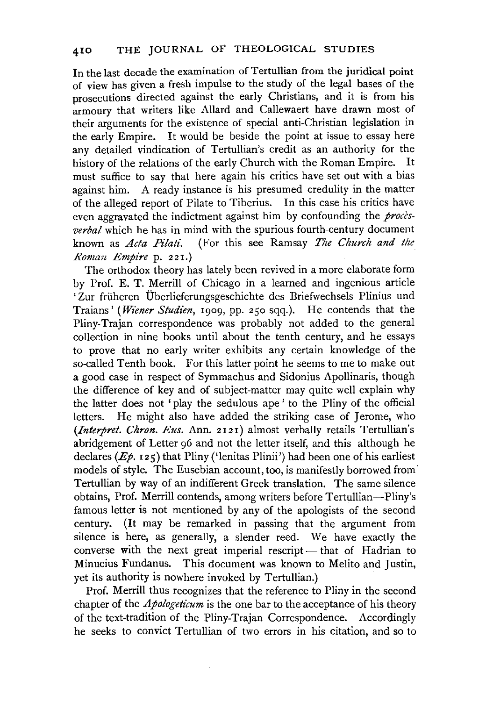In the last decade the examination of Tertullian from the juridical point of view has given a fresh impulse to the study of the legal bases of the prosecutions directed against the early Christians, and it is from his armoury that writers like Allard and Callewaert have drawn most of their arguments for the existence of special anti-Christian legislation in the early Empire. It would be beside the point at issue to essay here any detailed vindication of Tertullian's credit as an authority for the history of the relations of the early Church with the Roman Empire. It must suffice to say that here again his critics have set out with a bias against him. A ready instance is his presumed credulity in the matter of the alleged report of Pilate to Tiberius. In this case his critics have even aggravated the indictment against him by confounding the *procesverbal* which he has in mind with the spurious fourth-century document known as *Acta Pilati.* (For this see Ramsay *The Church and the Ronum Empire* p. 221.)

The orthodox theory has lately been revived in a more elaborate form by Prof. E. T. Merrill of Chicago in a learned and ingenious article 'Zur früheren Überlieferungsgeschichte des Briefwechsels Plinius und Traians' *(Wiener Studien, 1909, pp. 250 sqq.).* He contends that the Pliny-Trajan correspondence was probably not added to the general collection in nine books until about the tenth century, and he essays to prove that no early writer exhibits any certain knowledge of the so-called Tenth book. For this latter point he seems to me to make out a good case in respect of Symmachus and Sidonius Apollinaris, though the difference of key and of subject-matter may quite well explain why the latter does not ' play the sedulous ape ' to the Pliny of the official letters. He might also have added the striking case of Jerome, who *(Interpret. Chron. Eus. Ann. 2121)* almost verbally retails Tertullian's abridgement of Letter 96 and not the letter itself, and this although he declares ( $E\phi$ , 125) that Pliny ('lenitas Plinii') had been one of his earliest models of style. The Eusebian account, too, is manifestly borrowed from· Tertullian by way of an indifferent Greek translation. The same silence obtains, Prof. Merrill contends, among writers before Tertullian-Pliny's famous letter is not mentioned by any of the apologists of the second century. (It may be remarked in passing that the argument from silence is here, as generally, a slender reed. We have exactly the converse with the next great imperial rescript- that of Hadrian to Minucius Fundanus. This document was known to Melito and Justin, yet its authority is nowhere invoked by Tertullian.)

Prof. Merrill thus recognizes that the reference to Pliny in the second chapter of the *Apologeticum* is the one bar to the acceptance of his theory of the text-tradition of the Pliny-Trajan Correspondence. Accordingly he seeks to convict Tertullian of two errors in his citation, and so to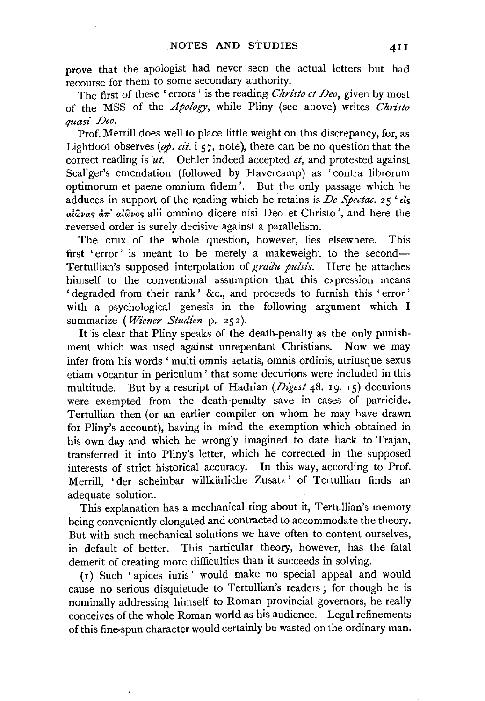prove that the apologist had never seen the actual letters but had recourse for them to some secondary authority.

The first of these 'errors ' is the reading *Christo et Deo,* given by most of the MSS of the *Apology,* while Pliny (see above) writes *Christo quasi Deo.* 

Prof. Merrill does well to place little weight on this discrepancy, for, as Lightfoot observes *(op. cit.* i 57, note), there can be no question that the correct reading is  $u_t$ . Oehler indeed accepted *et*, and protested against Scaliger's emendation (followed by Havercamp) as 'contra librorum optimorum et paene omnium fidem '. But the only passage which he adduces in support of the reading which he retains is *De Spectac.* 25 ' $\epsilon$ is  $a\hat{i}\hat{\omega}$ vas  $d\pi$ '  $a\hat{i}\hat{\omega}$ vos alii omnino dicere nisi Deo et Christo', and here the reversed order is surely decisive against a parallelism.

The crux of the whole question, however, lies elsewhere. This first 'error' is meant to be merely a makeweight to the second-Tertullian's supposed interpolation of *gradu pulsis*. Here he attaches himself to the conventional assumption that this expression means ' degraded from their rank' &c., and proceeds to furnish this ' error ' with a psychological genesis in the following argument which I summarize ( Wiener Studien p. 252).

It is clear that Pliny speaks of the death-penalty as the only punishment which was used against unrepentant Christians. Now we may infer from his words ' multi omnis aetatis, omnis ordinis, utriusque sexus etiam vocantur in periculum ' that some decurions were included in this multitude. But by a rescript of Hadrian (*Digest* 48. 19. 15) decurions were exempted from the death-penalty save in cases of parricide. Tertullian then (or an earlier compiler on whom he may have drawn for Pliny's account), having in mind the exemption which obtained in his own day and which he wrongly imagined to date back to Trajan, transferred it into Pliny's letter, which he corrected in the supposed interests of strict historical accuracy. In this way, according to Prof. Merrill, 'der scheinbar willkürliche Zusatz' of Tertullian finds an adequate solution.

This explanation has a mechanical ring about it, Tertullian's memory being conveniently elongated and contracted to accommodate the theory. But with such mechanical solutions we have often to content ourselves, in default of better. This particular theory, however, has the fatal demerit of creating more difficulties than it succeeds in solving.

(I) Such 'apices iuris' would make no special appeal and would cause no serious disquietude to Tertullian's readers ; for though he is nominally addressing himself to Roman provincial governors, he really conceives of the whole Roman world as his audience. Legal refinements of this fine-spun character would certainly be wasted on the ordinary man.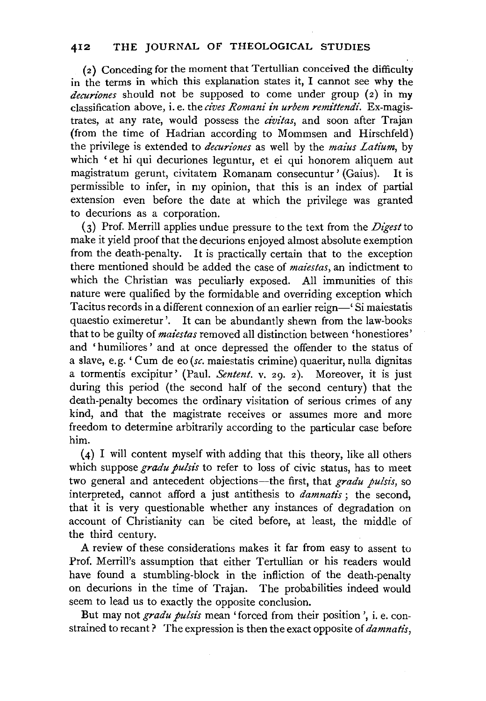( 2) Conceding for the moment that Tertullian conceived the difficulty in the terms in which this explanation states it, I cannot see why the *decuriones* should not be supposed to come under group (2) in my classification above, i.e. the *cives Romani in urbem remittendi.* Ex-magistrates, at any rate, would possess the *civitas,* and soon after Trajan (from the time of Hadrian according to Mommsen and Hirschfeld) the privilege is extended to *decuriones* as well by the *maius Latium,* by which 'et hi qui decuriones leguntur, et ei qui honorem aliquem aut magistratum gerunt, civitatem Romanam consecuntur' (Gaius). It is permissible to infer, in my opinion, that this is an index of partial extension even before the date at which the privilege was granted to decurions as a corporation.

(3) Prof. Merrill applies undue pressure to the text from the *Digest* to make it yield proof that the decurions enjoyed almost absolute exemption from the death-penalty. It is practically certain that to the exception there mentioned should be added the case of *maiestas,* an indictment to which the Christian was peculiarly exposed. All immunities of this nature were qualified by the formidable and overriding exception which Tacitus records in a different connexion of an earlier reign-'Si maiestatis quaestio eximeretur '. It can be abundantly shewn from the law-books that to be guilty of *maiestas* removed all distinction between 'honestiores' and 'humiliores' and at once depressed the offender to the status of a slave, e.g.' Cum de eo *(sc.* maiestatis crimine) quaeritur, nulla dignitas a tormentis excipitur' (Paul. *Sentent.* v. 29. 2). Moreover, it is just during this period (the second half of the second century) that the death-penalty becomes the ordinary visitation of serious crimes of any kind, and that the magistrate receives or assumes more and more freedom to determine arbitrarily according to the particular case before him.

(4) I will content myself with adding that this theory, like all others which suppose *gradu pulsis* to refer to loss of civic status, has to meet two general and antecedent objections-the first, that *gradu pulsis,* so interpreted, cannot afford a just antithesis to *damnatis* ; the second, that it is very questionable whether any instances of degradation on account of Christianity can be cited before, at least, the middle of the third century.

A review of these considerations makes it far from easy to assent to Prof. Merrill's assumption that either Tertullian or his readers would have found a stumbling-block in the infliction of the death-penalty on decurions in the time of Trajan. The probabilities indeed would seem to lead us to exactly the opposite conclusion.

But may not *gradu pulsis* mean 'forced from their position', i.e. constrained to recant? The expression is then the exact opposite of *damnatis,*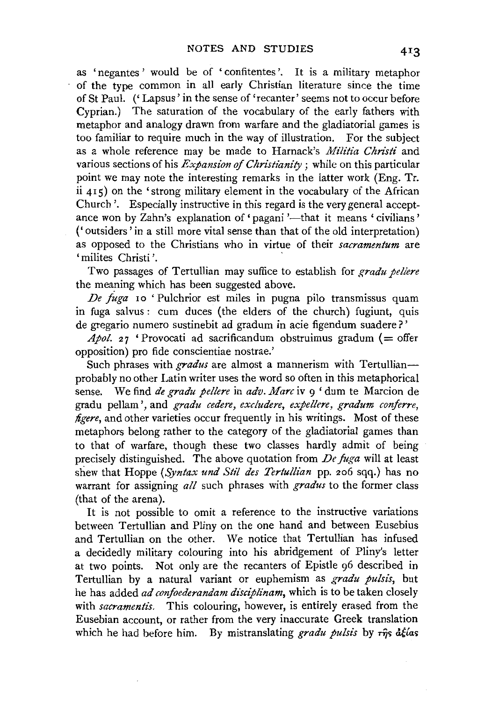as 'negantes' would be of 'confitentes '. It is a military metaphor of the type common in all early Christian literature since the time of St Paul. ('Lapsus' in the sense of 'recanter' seems not to occur before Cyprian.) The saturation of the vocabulary of the early fathers with metaphor and analogy drawn from warfare and the gladiatorial games is too familiar to require much in the way of illustration. For the subject as a whole reference may be made to Harnack's *Militia Christi* and various sections of his *Expansion of Christianity* ; while on this particular point we may note the interesting remarks in the latter work (Eng. Tr. ii 415) on the' strong military element in the vocabulary of the African Church'. Especially instructive in this regard is the very general acceptance won by Zahn's explanation of 'pagani'—that it means 'civilians' ('outsiders' in a still more vital sense than that of the old interpretation) as opposed to the Christians who in virtue of their *sacramentum* are 'milites Christi'.

Two passages of Tertullian may suffice to establish for *gradu pellere* the meaning which has been suggested above.

*De /uga* 10 'Pulchrior est miles in pugna pilo transmissus quam in fuga salvus: cum duces (the elders of the church) fugiunt, quis de gregario numero sustinebit ad gradum in acie figendum suadere?'

 $Apol.$  27 'Provocati ad sacrificandum obstruimus gradum (= offer opposition) pro fide conscientiae nostrae.'

Such phrases with *gradus* are almost a mannerism with Tertullianprobably no other Latin writer uses the word so often in this metaphorical sense. We find *de gradu pellere* in *adv. Marc* iv 9 'dum te Marcion de gradu pellam ',and *gradu cedere, excludere, expellere, gradum conferre, figere*, and other varieties occur frequently in his writings. Most of these metaphors belong rather to the category of the gladiatorial games than to that of warfare, though these two classes hardly admit of being precisely distinguished. The above quotation from *De fuga* will at least shew that Hoppe *(Syntax und Stil des Tertu!Han* pp. 206 sqq.) has no warrant for assigning *all* such phrases with *gradus* to the former class (that of the arena).

It is not possible to omit a reference to the instructive variations between Tertullian and Pliny on the one hand and between Eusebius and Tertullian on the other. We notice that Tertullian has infused a decidedly military colouring into his abridgement of Pliny's letter at two points. Not only are the recanters of Epistle g6 described in Tertullian by a natural variant or euphemism as *gradu pulsis,* but he has added *ad confoederandam disciplinam,* which is to be taken closely with *sacramentis.* This colouring, however, is entirely erased from the Eusebian account, or rather from the very inaccurate Greek translation which he had before him. By mistranslating *gradu pulsis* by  $\tau \hat{\eta} s$  délas